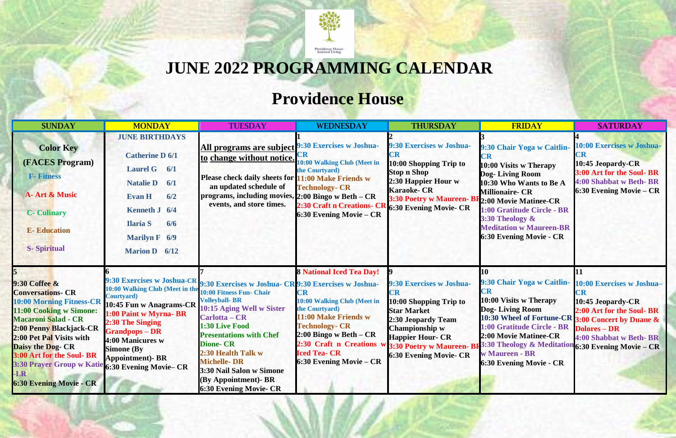

–

## **JUNE 2022 PROGRAMMING CALENDAR**

## **Providence House**

| <b>SUNDAY</b>                                                                                                                                                                                                                                                                                                                      | <b>MONDAY</b>                                                                                                                                                                                                                                                                            | <b>TUESDAY</b>                                                                                                                                                                                                                                                                                                                                                  | <b>WEDNESDAY</b>                                                                                                                                                                                                                                                    | <b>THURSDAY</b>                                                                                                                                                                                                    | <b>FRIDAY</b>                                                                                                                                                                                                                                                                                                                      | <b>SATURDAY</b>                                                                                                                  |
|------------------------------------------------------------------------------------------------------------------------------------------------------------------------------------------------------------------------------------------------------------------------------------------------------------------------------------|------------------------------------------------------------------------------------------------------------------------------------------------------------------------------------------------------------------------------------------------------------------------------------------|-----------------------------------------------------------------------------------------------------------------------------------------------------------------------------------------------------------------------------------------------------------------------------------------------------------------------------------------------------------------|---------------------------------------------------------------------------------------------------------------------------------------------------------------------------------------------------------------------------------------------------------------------|--------------------------------------------------------------------------------------------------------------------------------------------------------------------------------------------------------------------|------------------------------------------------------------------------------------------------------------------------------------------------------------------------------------------------------------------------------------------------------------------------------------------------------------------------------------|----------------------------------------------------------------------------------------------------------------------------------|
| <b>Color Key</b><br><b>(FACES Program)</b><br><b>F-</b> Fitness<br><b>A-Art &amp; Music</b><br><b>C</b> - Culinary<br><b>E-Education</b><br><b>S-Spiritual</b>                                                                                                                                                                     | <b>JUNE BIRTHDAYS</b><br><b>Catherine D 6/1</b><br><b>Laurel G</b><br>6/1<br><b>Natalie D</b><br>6/1<br>6/2<br><b>Evan H</b><br>Kenneth J 6/4<br><b>Ilaria S</b><br>6/6<br><b>Marilyn F</b> 6/9<br><b>Marion D</b> 6/12                                                                  | All programs are subject 9:30 Exercises w Joshua-<br>to change without notice.<br>Please check daily sheets for 11:00 Make Friends w<br>an updated schedule of<br>programs, including movies, 2:00 Bingo w Beth - CR<br>events, and store times.                                                                                                                | 10:00 Walking Club (Meet in<br>the Courtyard)<br><b>Technology- CR</b><br>2:30 Craft n Creations- CF<br>6:30 Evening Movie - CR                                                                                                                                     | 9:30 Exercises w Joshua-<br>10:00 Shopping Trip to<br><b>Stop n Shop</b><br>2:30 Happier Hour w<br><b>Karaoke- CR</b><br>3:30 Poetry w Maureen- BH <sub>2:00</sub> Movie Matinee-CR<br>$\log 30$ Evening Movie- CR | 9:30 Chair Yoga w Caitlin-<br>$\mathbb{C}\mathbf{R}$<br>10:00 Visits w Therapy<br><b>Dog-Living Room</b><br>10:30 Who Wants to Be A<br><b>Millionaire- CR</b><br>1:00 Gratitude Circle - BR<br>3:30 Theology &<br><b>Meditation w Maureen-BR</b><br><b>6:30 Evening Movie - CR</b>                                                 | 10:00 Exercises w Joshua-<br>10:45 Jeopardy-CR<br>3:00 Art for the Soul- BR<br>4:00 Shabbat w Beth-BR<br>6:30 Evening Movie – CR |
| 9:30 Coffee &<br><b>Conversations- CR</b><br><b>10:00 Morning Fitness-CR</b><br>11:00 Cooking w Simone:<br><b>Macaroni Salad - CR</b><br>2:00 Penny Blackjack-CR<br>2:00 Pet Pal Visits with<br><b>Daisy the Dog- CR</b><br>3:00 Art for the Soul- BR<br><b>3:30 Prayer Group w Katie</b><br>-LR<br><b>6:30 Evening Movie - CR</b> | <b>9:30 Exercises w Joshua-CR</b><br>10:00 Walking Club (Meet in the<br>Courtyard)<br>10:45 Fun w Anagrams-CR<br>1:00 Paint w Myrna-BR<br>2:30 The Singing<br><b>Grandpops – DR</b><br>4:00 Manicures w<br><b>Simone (By</b><br><b>Appointment)- BR</b><br><b>6:30 Evening Movie– CR</b> | 9:30 Exercises w Joshua- CR 9:30 Exercises w Joshua-<br>10:00 Fitness Fun- Chair<br><b>Volleyball-BR</b><br>10:15 Aging Well w Sister<br>Carlotta – CR<br>1:30 Live Food<br><b>Presentations with Chef</b><br><b>Dione-CR</b><br>2:30 Health Talk w<br><b>Michelle-DR</b><br>3:30 Nail Salon w Simone<br>(By Appointment) - BR<br><b>6:30 Evening Movie- CR</b> | <b>8 National Iced Tea Day!</b><br>$\mathbb{C}\mathbf{R}$<br>10:00 Walking Club (Meet in<br>the Courtyard)<br>11:00 Make Friends w<br><b>Technology- CR</b><br>$2:00$ Bingo w Beth – CR<br>2:30 Craft n Creations<br><b>Iced Tea- CR</b><br>6:30 Evening Movie - CR | 9:30 Exercises w Joshua-<br>10:00 Shopping Trip to<br><b>Star Market</b><br>2:30 Jeopardy Team<br><b>Championship w</b><br><b>Happier Hour- CR</b><br><b>6:30 Evening Movie- CR</b>                                | 10<br>9:30 Chair Yoga w Caitlin-<br>ĽR<br>10:00 Visits w Therapy<br>Dog-Living Room<br>10:30 Wheel of Fortune-CR 3:00 Concert by Duane &<br>1:00 Gratitude Circle - BR<br>2:00 Movie Matinee-CR<br>3:30 Poetry w Maureen- BF3:30 Theology & Meditation 6:30 Evening Movie - CR<br>w Maureen - BR<br><b>6:30 Evening Movie - CR</b> | 10:00 Exercises w Joshua-<br>10:45 Jeopardy-CR<br>2:00 Art for the Soul- BR<br><b>Dolores - DR</b><br>4:00 Shabbat w Beth- BR    |